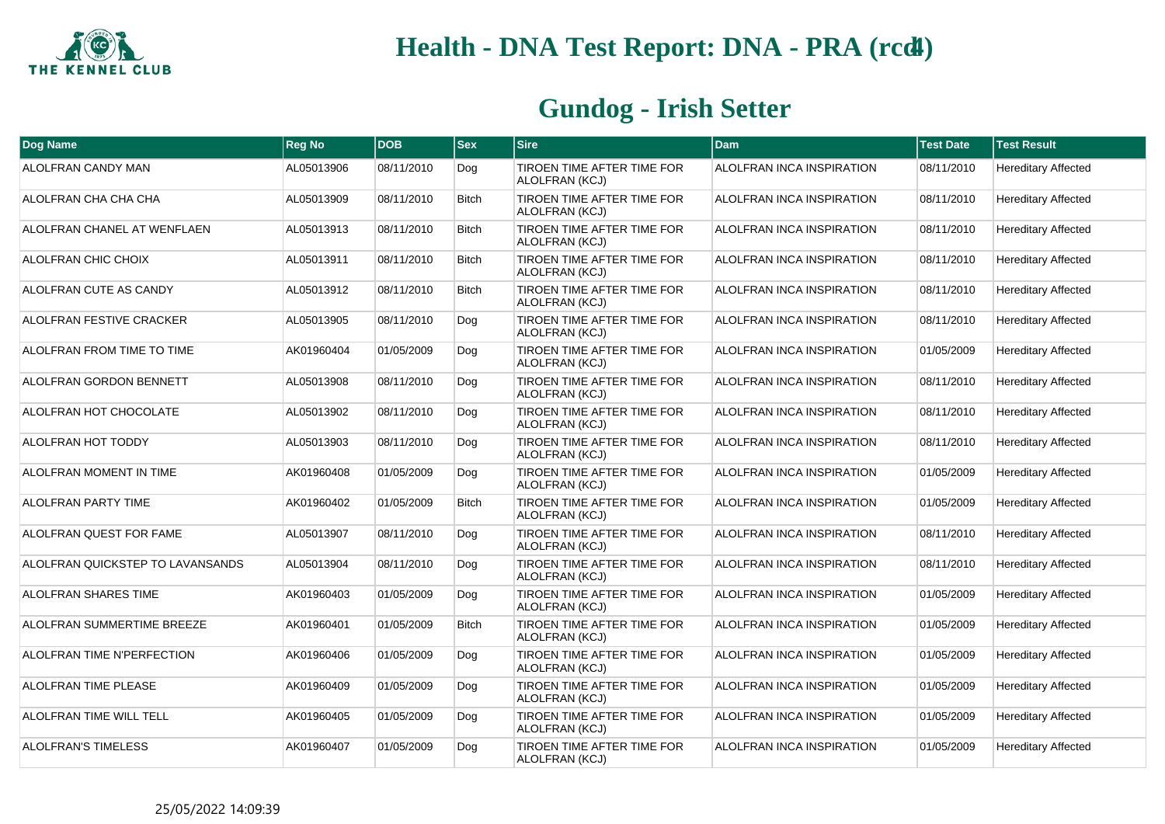

## **Health - DNA Test Report: DNA - PRA (rcd4)**

## **Gundog - Irish Setter**

| Dog Name                         | <b>Reg No</b> | <b>DOB</b> | <b>Sex</b>   | <b>Sire</b>                                  | <b>Dam</b>                | <b>Test Date</b> | <b>Test Result</b>         |
|----------------------------------|---------------|------------|--------------|----------------------------------------------|---------------------------|------------------|----------------------------|
| ALOLFRAN CANDY MAN               | AL05013906    | 08/11/2010 | Dog          | TIROEN TIME AFTER TIME FOR<br>ALOLFRAN (KCJ) | ALOLFRAN INCA INSPIRATION | 08/11/2010       | <b>Hereditary Affected</b> |
| ALOLFRAN CHA CHA CHA             | AL05013909    | 08/11/2010 | <b>Bitch</b> | TIROEN TIME AFTER TIME FOR<br>ALOLFRAN (KCJ) | ALOLFRAN INCA INSPIRATION | 08/11/2010       | <b>Hereditary Affected</b> |
| ALOLFRAN CHANEL AT WENFLAEN      | AL05013913    | 08/11/2010 | <b>Bitch</b> | TIROEN TIME AFTER TIME FOR<br>ALOLFRAN (KCJ) | ALOLFRAN INCA INSPIRATION | 08/11/2010       | <b>Hereditary Affected</b> |
| ALOLFRAN CHIC CHOIX              | AL05013911    | 08/11/2010 | <b>Bitch</b> | TIROEN TIME AFTER TIME FOR<br>ALOLFRAN (KCJ) | ALOLFRAN INCA INSPIRATION | 08/11/2010       | <b>Hereditary Affected</b> |
| ALOLFRAN CUTE AS CANDY           | AL05013912    | 08/11/2010 | <b>Bitch</b> | TIROEN TIME AFTER TIME FOR<br>ALOLFRAN (KCJ) | ALOLFRAN INCA INSPIRATION | 08/11/2010       | <b>Hereditary Affected</b> |
| ALOLFRAN FESTIVE CRACKER         | AL05013905    | 08/11/2010 | Dog          | TIROEN TIME AFTER TIME FOR<br>ALOLFRAN (KCJ) | ALOLFRAN INCA INSPIRATION | 08/11/2010       | <b>Hereditary Affected</b> |
| ALOLFRAN FROM TIME TO TIME       | AK01960404    | 01/05/2009 | Dog          | TIROEN TIME AFTER TIME FOR<br>ALOLFRAN (KCJ) | ALOLFRAN INCA INSPIRATION | 01/05/2009       | <b>Hereditary Affected</b> |
| ALOLFRAN GORDON BENNETT          | AL05013908    | 08/11/2010 | Dog          | TIROEN TIME AFTER TIME FOR<br>ALOLFRAN (KCJ) | ALOLFRAN INCA INSPIRATION | 08/11/2010       | <b>Hereditary Affected</b> |
| ALOLFRAN HOT CHOCOLATE           | AL05013902    | 08/11/2010 | Dog          | TIROEN TIME AFTER TIME FOR<br>ALOLFRAN (KCJ) | ALOLFRAN INCA INSPIRATION | 08/11/2010       | <b>Hereditary Affected</b> |
| ALOLFRAN HOT TODDY               | AL05013903    | 08/11/2010 | Dog          | TIROEN TIME AFTER TIME FOR<br>ALOLFRAN (KCJ) | ALOLFRAN INCA INSPIRATION | 08/11/2010       | <b>Hereditary Affected</b> |
| ALOLFRAN MOMENT IN TIME          | AK01960408    | 01/05/2009 | Dog          | TIROEN TIME AFTER TIME FOR<br>ALOLFRAN (KCJ) | ALOLFRAN INCA INSPIRATION | 01/05/2009       | <b>Hereditary Affected</b> |
| <b>ALOLFRAN PARTY TIME</b>       | AK01960402    | 01/05/2009 | <b>Bitch</b> | TIROEN TIME AFTER TIME FOR<br>ALOLFRAN (KCJ) | ALOLFRAN INCA INSPIRATION | 01/05/2009       | <b>Hereditary Affected</b> |
| ALOLFRAN QUEST FOR FAME          | AL05013907    | 08/11/2010 | Dog          | TIROEN TIME AFTER TIME FOR<br>ALOLFRAN (KCJ) | ALOLFRAN INCA INSPIRATION | 08/11/2010       | <b>Hereditary Affected</b> |
| ALOLFRAN QUICKSTEP TO LAVANSANDS | AL05013904    | 08/11/2010 | Dog          | TIROEN TIME AFTER TIME FOR<br>ALOLFRAN (KCJ) | ALOLFRAN INCA INSPIRATION | 08/11/2010       | <b>Hereditary Affected</b> |
| ALOLFRAN SHARES TIME             | AK01960403    | 01/05/2009 | Dog          | TIROEN TIME AFTER TIME FOR<br>ALOLFRAN (KCJ) | ALOLFRAN INCA INSPIRATION | 01/05/2009       | <b>Hereditary Affected</b> |
| ALOLFRAN SUMMERTIME BREEZE       | AK01960401    | 01/05/2009 | <b>Bitch</b> | TIROEN TIME AFTER TIME FOR<br>ALOLFRAN (KCJ) | ALOLFRAN INCA INSPIRATION | 01/05/2009       | <b>Hereditary Affected</b> |
| ALOLFRAN TIME N'PERFECTION       | AK01960406    | 01/05/2009 | Dog          | TIROEN TIME AFTER TIME FOR<br>ALOLFRAN (KCJ) | ALOLFRAN INCA INSPIRATION | 01/05/2009       | <b>Hereditary Affected</b> |
| <b>ALOLFRAN TIME PLEASE</b>      | AK01960409    | 01/05/2009 | Dog          | TIROEN TIME AFTER TIME FOR<br>ALOLFRAN (KCJ) | ALOLFRAN INCA INSPIRATION | 01/05/2009       | <b>Hereditary Affected</b> |
| ALOLFRAN TIME WILL TELL          | AK01960405    | 01/05/2009 | Dog          | TIROEN TIME AFTER TIME FOR<br>ALOLFRAN (KCJ) | ALOLFRAN INCA INSPIRATION | 01/05/2009       | <b>Hereditary Affected</b> |
| <b>ALOLFRAN'S TIMELESS</b>       | AK01960407    | 01/05/2009 | Dog          | TIROEN TIME AFTER TIME FOR<br>ALOLFRAN (KCJ) | ALOLFRAN INCA INSPIRATION | 01/05/2009       | <b>Hereditary Affected</b> |